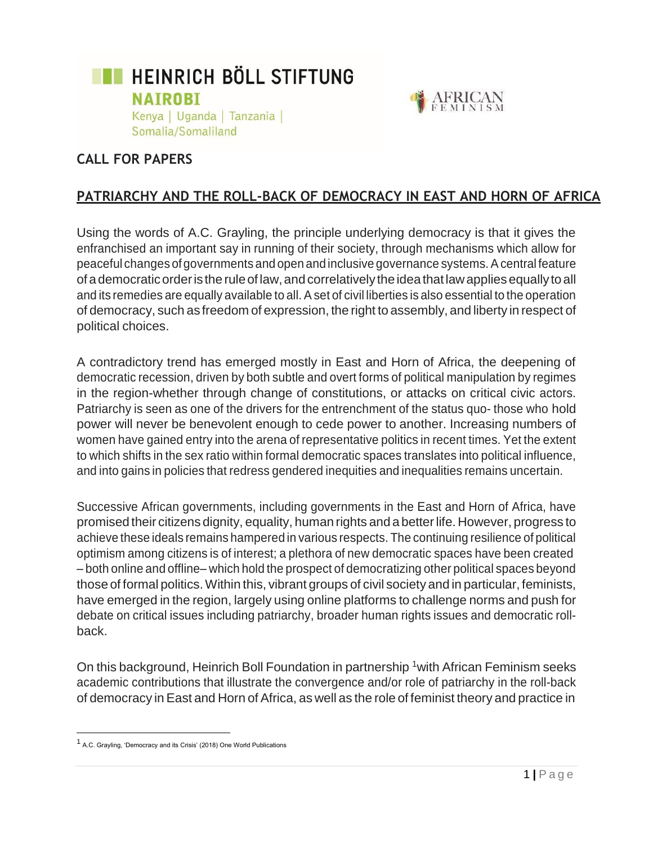



## **CALL FOR PAPERS**

# **PATRIARCHY AND THE ROLL-BACK OF DEMOCRACY IN EAST AND HORN OF AFRICA**

Using the words of A.C. Grayling, the principle underlying democracy is that it gives the enfranchised an important say in running of their society, through mechanisms which allow for peaceful changes of governments and open and inclusive governance systems. A central feature of ademocraticorderis theruleof law,andcorrelatively theideathatlawappliesequallytoall and its remedies are equally available to all. A set of civil liberties is also essential to the operation of democracy, such as freedom of expression, the right to assembly, and liberty in respect of political choices.

A contradictory trend has emerged mostly in East and Horn of Africa, the deepening of democratic recession, driven by both subtle and overt forms of political manipulation by regimes in the region-whether through change of constitutions, or attacks on critical civic actors. Patriarchy is seen as one of the drivers for the entrenchment of the status quo- those who hold power will never be benevolent enough to cede power to another. Increasing numbers of women have gained entry into the arena of representative politics in recent times. Yet the extent to which shifts in the sex ratio within formal democratic spaces translates into political influence, and into gains in policies that redress gendered inequities and inequalities remains uncertain.

Successive African governments, including governments in the East and Horn of Africa, have promised their citizens dignity, equality, human rights and a betterlife.However, progress to achieve these ideals remains hampered in various respects. The continuing resilience of political optimism among citizens is of interest; a plethora of new democratic spaces have been created – both online and offline– which hold the prospect of democratizing other political spaces beyond those of formal politics.Within this, vibrant groups of civil society and in particular, feminists, have emerged in the region, largely using online platforms to challenge norms and push for debate on critical issues including patriarchy, broader human rights issues and democratic rollback.

On this background, Heinrich Boll Foundation in partnership <sup>1</sup> with African Feminism seeks academic contributions that illustrate the convergence and/or role of patriarchy in the roll-back of democracy in East and Horn of Africa, as well as the role of feminist theory and practice in

<sup>1</sup>A.C. Grayling, 'Democracy and its Crisis' (2018) One World Publications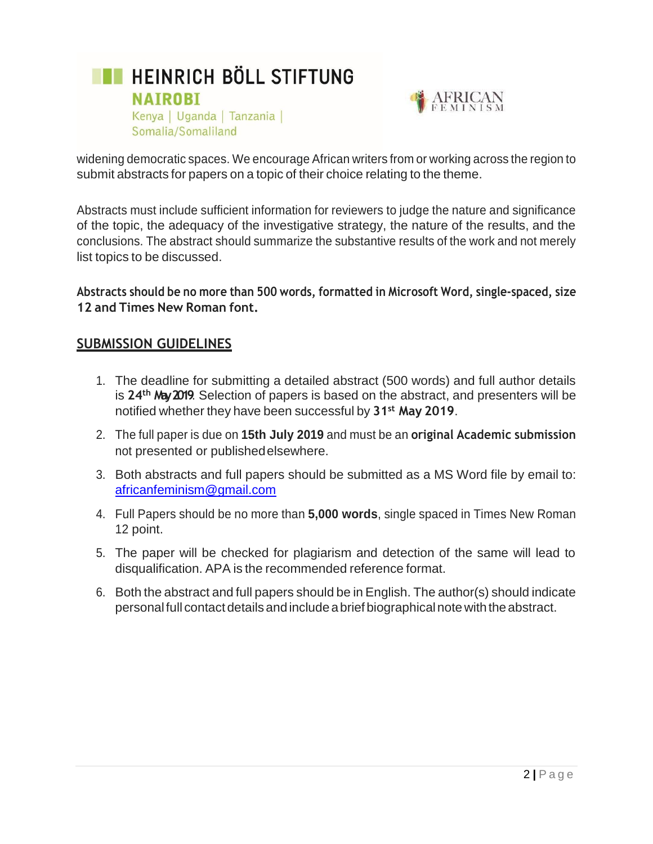



widening democratic spaces. We encourage African writers from or working across the region to submit abstracts for papers on a topic of their choice relating to the theme.

Abstracts must include sufficient information for reviewers to judge the nature and significance of the topic, the adequacy of the investigative strategy, the nature of the results, and the conclusions. The abstract should summarize the substantive results of the work and not merely list topics to be discussed.

**Abstracts should be no more than 500 words, formatted in Microsoft Word, single-spaced, size 12 and Times New Roman font.**

#### **SUBMISSION GUIDELINES**

- 1. The deadline for submitting a detailed abstract (500 words) and full author details is **24th May 2019**. Selection of papers is based on the abstract, and presenters will be notified whether they have been successful by **31st May 2019**.
- 2. The full paper is due on **15th July 2019** and must be an **original Academic submission** not presented or publishedelsewhere.
- 3. Both abstracts and full papers should be submitted as a MS Word file by email to: [africanfeminism@gmail.com](mailto:africanfeminism@gmail.com)
- 4. Full Papers should be no more than **5,000 words**, single spaced in Times New Roman 12 point.
- 5. The paper will be checked for plagiarism and detection of the same will lead to disqualification. APA is the recommended reference format.
- 6. Both the abstract and full papers should be in English. The author(s) should indicate personalfull contact details andincludeabrief biographicalnote withtheabstract.